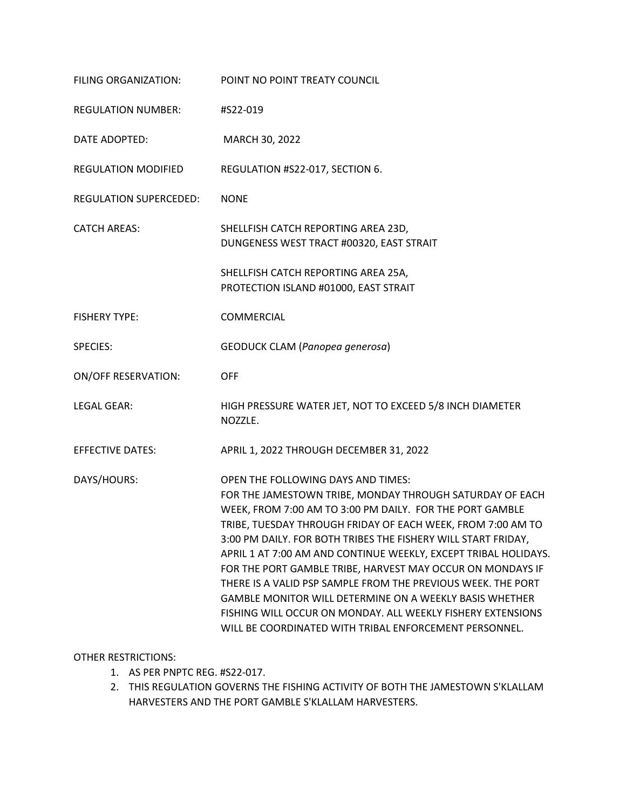| FILING ORGANIZATION:       | POINT NO POINT TREATY COUNCIL                                                                                                                                                                                                                                                                                                                                                                                                                                                                                                                                                                                                                                                   |
|----------------------------|---------------------------------------------------------------------------------------------------------------------------------------------------------------------------------------------------------------------------------------------------------------------------------------------------------------------------------------------------------------------------------------------------------------------------------------------------------------------------------------------------------------------------------------------------------------------------------------------------------------------------------------------------------------------------------|
| <b>REGULATION NUMBER:</b>  | #S22-019                                                                                                                                                                                                                                                                                                                                                                                                                                                                                                                                                                                                                                                                        |
| DATE ADOPTED:              | MARCH 30, 2022                                                                                                                                                                                                                                                                                                                                                                                                                                                                                                                                                                                                                                                                  |
| <b>REGULATION MODIFIED</b> | REGULATION #S22-017, SECTION 6.                                                                                                                                                                                                                                                                                                                                                                                                                                                                                                                                                                                                                                                 |
| REGULATION SUPERCEDED:     | <b>NONE</b>                                                                                                                                                                                                                                                                                                                                                                                                                                                                                                                                                                                                                                                                     |
| <b>CATCH AREAS:</b>        | SHELLFISH CATCH REPORTING AREA 23D,<br>DUNGENESS WEST TRACT #00320, EAST STRAIT                                                                                                                                                                                                                                                                                                                                                                                                                                                                                                                                                                                                 |
|                            | SHELLFISH CATCH REPORTING AREA 25A,<br>PROTECTION ISLAND #01000, EAST STRAIT                                                                                                                                                                                                                                                                                                                                                                                                                                                                                                                                                                                                    |
| <b>FISHERY TYPE:</b>       | COMMERCIAL                                                                                                                                                                                                                                                                                                                                                                                                                                                                                                                                                                                                                                                                      |
| <b>SPECIES:</b>            | GEODUCK CLAM (Panopea generosa)                                                                                                                                                                                                                                                                                                                                                                                                                                                                                                                                                                                                                                                 |
| <b>ON/OFF RESERVATION:</b> | <b>OFF</b>                                                                                                                                                                                                                                                                                                                                                                                                                                                                                                                                                                                                                                                                      |
| <b>LEGAL GEAR:</b>         | HIGH PRESSURE WATER JET, NOT TO EXCEED 5/8 INCH DIAMETER<br>NOZZLE.                                                                                                                                                                                                                                                                                                                                                                                                                                                                                                                                                                                                             |
| <b>EFFECTIVE DATES:</b>    | APRIL 1, 2022 THROUGH DECEMBER 31, 2022                                                                                                                                                                                                                                                                                                                                                                                                                                                                                                                                                                                                                                         |
| DAYS/HOURS:                | OPEN THE FOLLOWING DAYS AND TIMES:<br>FOR THE JAMESTOWN TRIBE, MONDAY THROUGH SATURDAY OF EACH<br>WEEK, FROM 7:00 AM TO 3:00 PM DAILY. FOR THE PORT GAMBLE<br>TRIBE, TUESDAY THROUGH FRIDAY OF EACH WEEK, FROM 7:00 AM TO<br>3:00 PM DAILY. FOR BOTH TRIBES THE FISHERY WILL START FRIDAY,<br>APRIL 1 AT 7:00 AM AND CONTINUE WEEKLY, EXCEPT TRIBAL HOLIDAYS.<br>FOR THE PORT GAMBLE TRIBE, HARVEST MAY OCCUR ON MONDAYS IF<br>THERE IS A VALID PSP SAMPLE FROM THE PREVIOUS WEEK. THE PORT<br>GAMBLE MONITOR WILL DETERMINE ON A WEEKLY BASIS WHETHER<br>FISHING WILL OCCUR ON MONDAY. ALL WEEKLY FISHERY EXTENSIONS<br>WILL BE COORDINATED WITH TRIBAL ENFORCEMENT PERSONNEL. |

### OTHER RESTRICTIONS:

- 1. AS PER PNPTC REG. #S22-017.
- 2. THIS REGULATION GOVERNS THE FISHING ACTIVITY OF BOTH THE JAMESTOWN S'KLALLAM HARVESTERS AND THE PORT GAMBLE S'KLALLAM HARVESTERS.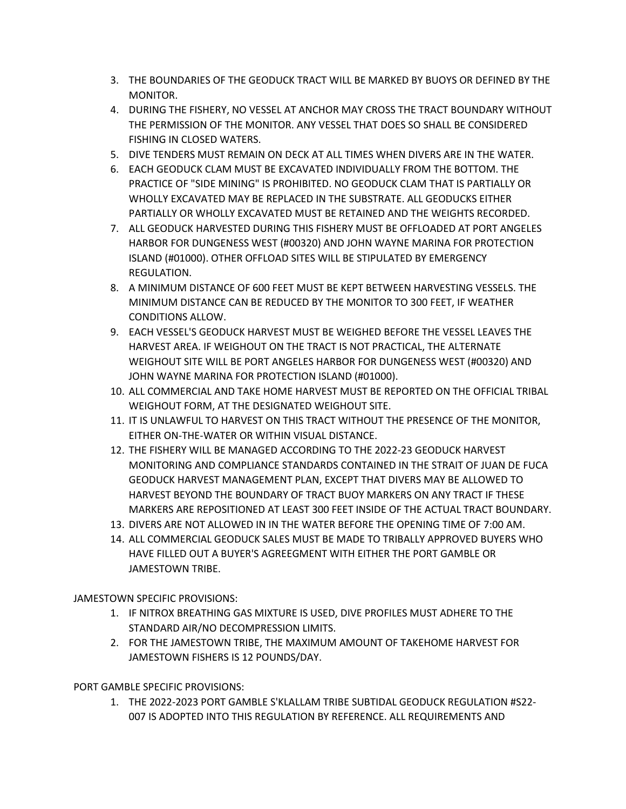- 3. THE BOUNDARIES OF THE GEODUCK TRACT WILL BE MARKED BY BUOYS OR DEFINED BY THE MONITOR.
- 4. DURING THE FISHERY, NO VESSEL AT ANCHOR MAY CROSS THE TRACT BOUNDARY WITHOUT THE PERMISSION OF THE MONITOR. ANY VESSEL THAT DOES SO SHALL BE CONSIDERED FISHING IN CLOSED WATERS.
- 5. DIVE TENDERS MUST REMAIN ON DECK AT ALL TIMES WHEN DIVERS ARE IN THE WATER.
- 6. EACH GEODUCK CLAM MUST BE EXCAVATED INDIVIDUALLY FROM THE BOTTOM. THE PRACTICE OF "SIDE MINING" IS PROHIBITED. NO GEODUCK CLAM THAT IS PARTIALLY OR WHOLLY EXCAVATED MAY BE REPLACED IN THE SUBSTRATE. ALL GEODUCKS EITHER PARTIALLY OR WHOLLY EXCAVATED MUST BE RETAINED AND THE WEIGHTS RECORDED.
- 7. ALL GEODUCK HARVESTED DURING THIS FISHERY MUST BE OFFLOADED AT PORT ANGELES HARBOR FOR DUNGENESS WEST (#00320) AND JOHN WAYNE MARINA FOR PROTECTION ISLAND (#01000). OTHER OFFLOAD SITES WILL BE STIPULATED BY EMERGENCY REGULATION.
- 8. A MINIMUM DISTANCE OF 600 FEET MUST BE KEPT BETWEEN HARVESTING VESSELS. THE MINIMUM DISTANCE CAN BE REDUCED BY THE MONITOR TO 300 FEET, IF WEATHER CONDITIONS ALLOW.
- 9. EACH VESSEL'S GEODUCK HARVEST MUST BE WEIGHED BEFORE THE VESSEL LEAVES THE HARVEST AREA. IF WEIGHOUT ON THE TRACT IS NOT PRACTICAL, THE ALTERNATE WEIGHOUT SITE WILL BE PORT ANGELES HARBOR FOR DUNGENESS WEST (#00320) AND JOHN WAYNE MARINA FOR PROTECTION ISLAND (#01000).
- 10. ALL COMMERCIAL AND TAKE HOME HARVEST MUST BE REPORTED ON THE OFFICIAL TRIBAL WEIGHOUT FORM, AT THE DESIGNATED WEIGHOUT SITE.
- 11. IT IS UNLAWFUL TO HARVEST ON THIS TRACT WITHOUT THE PRESENCE OF THE MONITOR, EITHER ON-THE-WATER OR WITHIN VISUAL DISTANCE.
- 12. THE FISHERY WILL BE MANAGED ACCORDING TO THE 2022-23 GEODUCK HARVEST MONITORING AND COMPLIANCE STANDARDS CONTAINED IN THE STRAIT OF JUAN DE FUCA GEODUCK HARVEST MANAGEMENT PLAN, EXCEPT THAT DIVERS MAY BE ALLOWED TO HARVEST BEYOND THE BOUNDARY OF TRACT BUOY MARKERS ON ANY TRACT IF THESE MARKERS ARE REPOSITIONED AT LEAST 300 FEET INSIDE OF THE ACTUAL TRACT BOUNDARY.
- 13. DIVERS ARE NOT ALLOWED IN IN THE WATER BEFORE THE OPENING TIME OF 7:00 AM.
- 14. ALL COMMERCIAL GEODUCK SALES MUST BE MADE TO TRIBALLY APPROVED BUYERS WHO HAVE FILLED OUT A BUYER'S AGREEGMENT WITH EITHER THE PORT GAMBLE OR JAMESTOWN TRIBE.

JAMESTOWN SPECIFIC PROVISIONS:

- 1. IF NITROX BREATHING GAS MIXTURE IS USED, DIVE PROFILES MUST ADHERE TO THE STANDARD AIR/NO DECOMPRESSION LIMITS.
- 2. FOR THE JAMESTOWN TRIBE, THE MAXIMUM AMOUNT OF TAKEHOME HARVEST FOR JAMESTOWN FISHERS IS 12 POUNDS/DAY.

PORT GAMBLE SPECIFIC PROVISIONS:

1. THE 2022-2023 PORT GAMBLE S'KLALLAM TRIBE SUBTIDAL GEODUCK REGULATION #S22- 007 IS ADOPTED INTO THIS REGULATION BY REFERENCE. ALL REQUIREMENTS AND